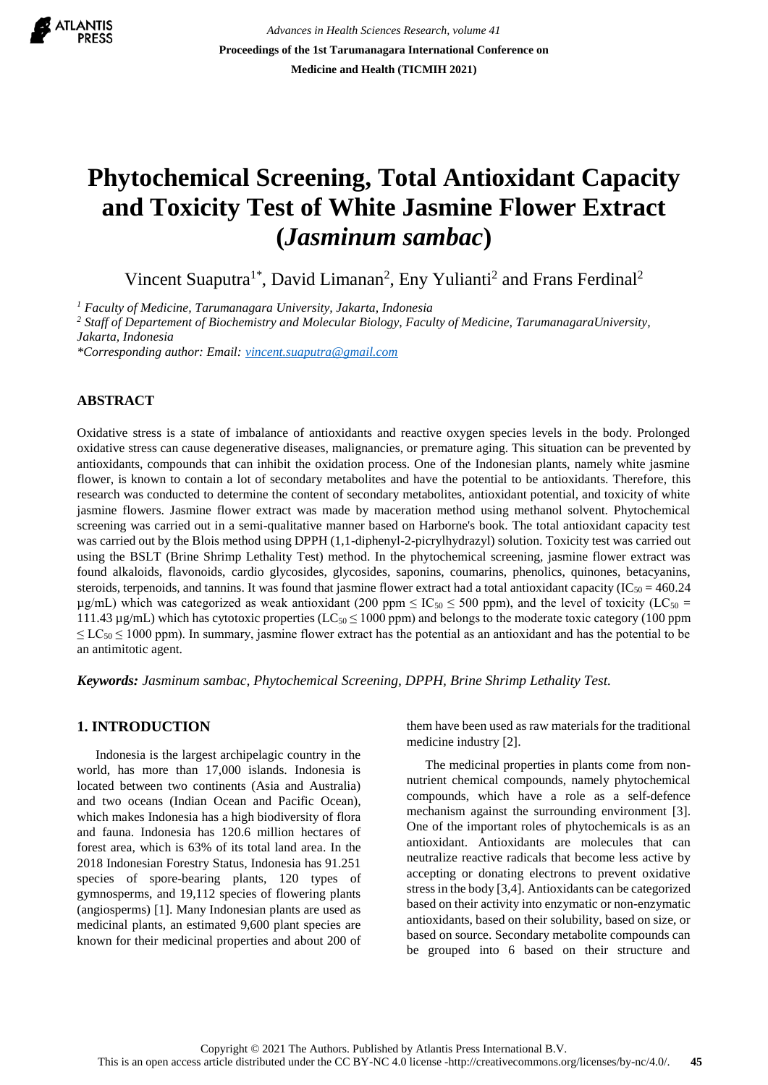

*Advances in Health Sciences Research, volume 41* **Proceedings of the 1st Tarumanagara International Conference on Medicine and Health (TICMIH 2021)**

# **Phytochemical Screening, Total Antioxidant Capacity and Toxicity Test of White Jasmine Flower Extract (***Jasminum sambac***)**

Vincent Suaputra<sup>1\*</sup>, David Limanan<sup>2</sup>, Eny Yulianti<sup>2</sup> and Frans Ferdinal<sup>2</sup>

*<sup>1</sup> Faculty of Medicine, Tarumanagara University, Jakarta, Indonesia* 

*<sup>2</sup> Staff of Departement of Biochemistry and Molecular Biology, Faculty of Medicine, TarumanagaraUniversity, Jakarta, Indonesia*

*\*Corresponding author: Email: [vincent.suaputra@gmail.com](mailto:vincent.suaputra@gmail.com)*

# **ABSTRACT**

Oxidative stress is a state of imbalance of antioxidants and reactive oxygen species levels in the body. Prolonged oxidative stress can cause degenerative diseases, malignancies, or premature aging. This situation can be prevented by antioxidants, compounds that can inhibit the oxidation process. One of the Indonesian plants, namely white jasmine flower, is known to contain a lot of secondary metabolites and have the potential to be antioxidants. Therefore, this research was conducted to determine the content of secondary metabolites, antioxidant potential, and toxicity of white jasmine flowers. Jasmine flower extract was made by maceration method using methanol solvent. Phytochemical screening was carried out in a semi-qualitative manner based on Harborne's book. The total antioxidant capacity test was carried out by the Blois method using DPPH (1,1-diphenyl-2-picrylhydrazyl) solution. Toxicity test was carried out using the BSLT (Brine Shrimp Lethality Test) method. In the phytochemical screening, jasmine flower extract was found alkaloids, flavonoids, cardio glycosides, glycosides, saponins, coumarins, phenolics, quinones, betacyanins, steroids, terpenoids, and tannins. It was found that jasmine flower extract had a total antioxidant capacity ( $IC_{50} = 460.24$  $\mu$ g/mL) which was categorized as weak antioxidant (200 ppm  $\leq$  IC<sub>50</sub>  $\leq$  500 ppm), and the level of toxicity (LC<sub>50</sub> = 111.43  $\mu$ g/mL) which has cytotoxic properties (LC<sub>50</sub>  $\leq$  1000 ppm) and belongs to the moderate toxic category (100 ppm)  $\leq$  LC<sub>50</sub>  $\leq$  1000 ppm). In summary, jasmine flower extract has the potential as an antioxidant and has the potential to be an antimitotic agent.

*Keywords: Jasminum sambac, Phytochemical Screening, DPPH, Brine Shrimp Lethality Test.*

## **1. INTRODUCTION**

Indonesia is the largest archipelagic country in the world, has more than 17,000 islands. Indonesia is located between two continents (Asia and Australia) and two oceans (Indian Ocean and Pacific Ocean), which makes Indonesia has a high biodiversity of flora and fauna. Indonesia has 120.6 million hectares of forest area, which is 63% of its total land area. In the 2018 Indonesian Forestry Status, Indonesia has 91.251 species of spore-bearing plants, 120 types of gymnosperms, and 19,112 species of flowering plants (angiosperms) [1]. Many Indonesian plants are used as medicinal plants, an estimated 9,600 plant species are known for their medicinal properties and about 200 of them have been used as raw materials for the traditional medicine industry [2].

The medicinal properties in plants come from nonnutrient chemical compounds, namely phytochemical compounds, which have a role as a self-defence mechanism against the surrounding environment [3]. One of the important roles of phytochemicals is as an antioxidant. Antioxidants are molecules that can neutralize reactive radicals that become less active by accepting or donating electrons to prevent oxidative stress in the body [3,4]. Antioxidants can be categorized based on their activity into enzymatic or non-enzymatic antioxidants, based on their solubility, based on size, or based on source. Secondary metabolite compounds can be grouped into 6 based on their structure and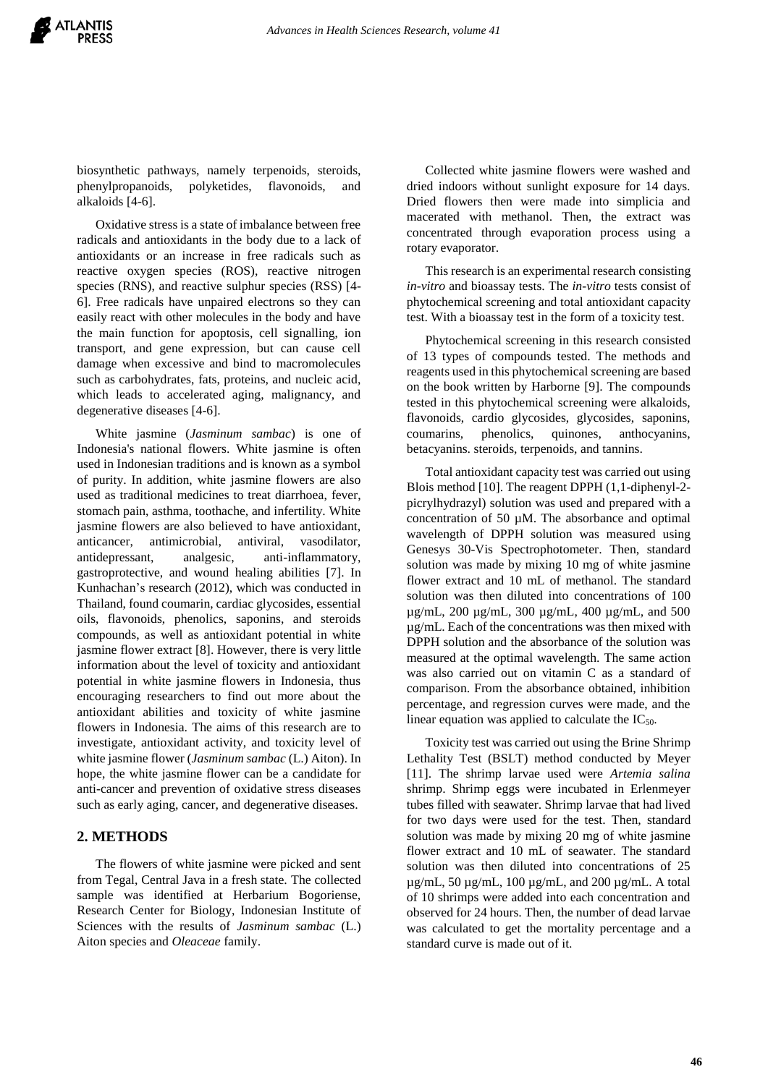biosynthetic pathways, namely terpenoids, steroids, phenylpropanoids, polyketides, flavonoids, and alkaloids [4-6].

Oxidative stress is a state of imbalance between free radicals and antioxidants in the body due to a lack of antioxidants or an increase in free radicals such as reactive oxygen species (ROS), reactive nitrogen species (RNS), and reactive sulphur species (RSS) [4- 6]. Free radicals have unpaired electrons so they can easily react with other molecules in the body and have the main function for apoptosis, cell signalling, ion transport, and gene expression, but can cause cell damage when excessive and bind to macromolecules such as carbohydrates, fats, proteins, and nucleic acid, which leads to accelerated aging, malignancy, and degenerative diseases [4-6].

White jasmine (*Jasminum sambac*) is one of Indonesia's national flowers. White jasmine is often used in Indonesian traditions and is known as a symbol of purity. In addition, white jasmine flowers are also used as traditional medicines to treat diarrhoea, fever, stomach pain, asthma, toothache, and infertility. White jasmine flowers are also believed to have antioxidant, anticancer, antimicrobial, antiviral, vasodilator, antidepressant, analgesic, anti-inflammatory, gastroprotective, and wound healing abilities [7]. In Kunhachan's research (2012), which was conducted in Thailand, found coumarin, cardiac glycosides, essential oils, flavonoids, phenolics, saponins, and steroids compounds, as well as antioxidant potential in white jasmine flower extract [8]. However, there is very little information about the level of toxicity and antioxidant potential in white jasmine flowers in Indonesia, thus encouraging researchers to find out more about the antioxidant abilities and toxicity of white jasmine flowers in Indonesia. The aims of this research are to investigate, antioxidant activity, and toxicity level of white jasmine flower (*Jasminum sambac* (L.) Aiton). In hope, the white jasmine flower can be a candidate for anti-cancer and prevention of oxidative stress diseases such as early aging, cancer, and degenerative diseases.

# **2. METHODS**

The flowers of white jasmine were picked and sent from Tegal, Central Java in a fresh state. The collected sample was identified at Herbarium Bogoriense, Research Center for Biology, Indonesian Institute of Sciences with the results of *Jasminum sambac* (L.) Aiton species and *Oleaceae* family.

Collected white jasmine flowers were washed and dried indoors without sunlight exposure for 14 days. Dried flowers then were made into simplicia and macerated with methanol. Then, the extract was concentrated through evaporation process using a rotary evaporator.

This research is an experimental research consisting *in-vitro* and bioassay tests. The *in-vitro* tests consist of phytochemical screening and total antioxidant capacity test. With a bioassay test in the form of a toxicity test.

Phytochemical screening in this research consisted of 13 types of compounds tested. The methods and reagents used in this phytochemical screening are based on the book written by Harborne [9]. The compounds tested in this phytochemical screening were alkaloids, flavonoids, cardio glycosides, glycosides, saponins, coumarins, phenolics, quinones, anthocyanins, betacyanins. steroids, terpenoids, and tannins.

Total antioxidant capacity test was carried out using Blois method [10]. The reagent DPPH (1,1-diphenyl-2 picrylhydrazyl) solution was used and prepared with a concentration of 50  $\mu$ M. The absorbance and optimal wavelength of DPPH solution was measured using Genesys 30-Vis Spectrophotometer. Then, standard solution was made by mixing 10 mg of white jasmine flower extract and 10 mL of methanol. The standard solution was then diluted into concentrations of 100 µg/mL, 200 µg/mL, 300 µg/mL, 400 µg/mL, and 500 µg/mL. Each of the concentrations was then mixed with DPPH solution and the absorbance of the solution was measured at the optimal wavelength. The same action was also carried out on vitamin C as a standard of comparison. From the absorbance obtained, inhibition percentage, and regression curves were made, and the linear equation was applied to calculate the  $IC_{50}$ .

Toxicity test was carried out using the Brine Shrimp Lethality Test (BSLT) method conducted by Meyer [11]. The shrimp larvae used were *Artemia salina* shrimp. Shrimp eggs were incubated in Erlenmeyer tubes filled with seawater. Shrimp larvae that had lived for two days were used for the test. Then, standard solution was made by mixing 20 mg of white jasmine flower extract and 10 mL of seawater. The standard solution was then diluted into concentrations of 25  $\mu$ g/mL, 50  $\mu$ g/mL, 100  $\mu$ g/mL, and 200  $\mu$ g/mL. A total of 10 shrimps were added into each concentration and observed for 24 hours. Then, the number of dead larvae was calculated to get the mortality percentage and a standard curve is made out of it.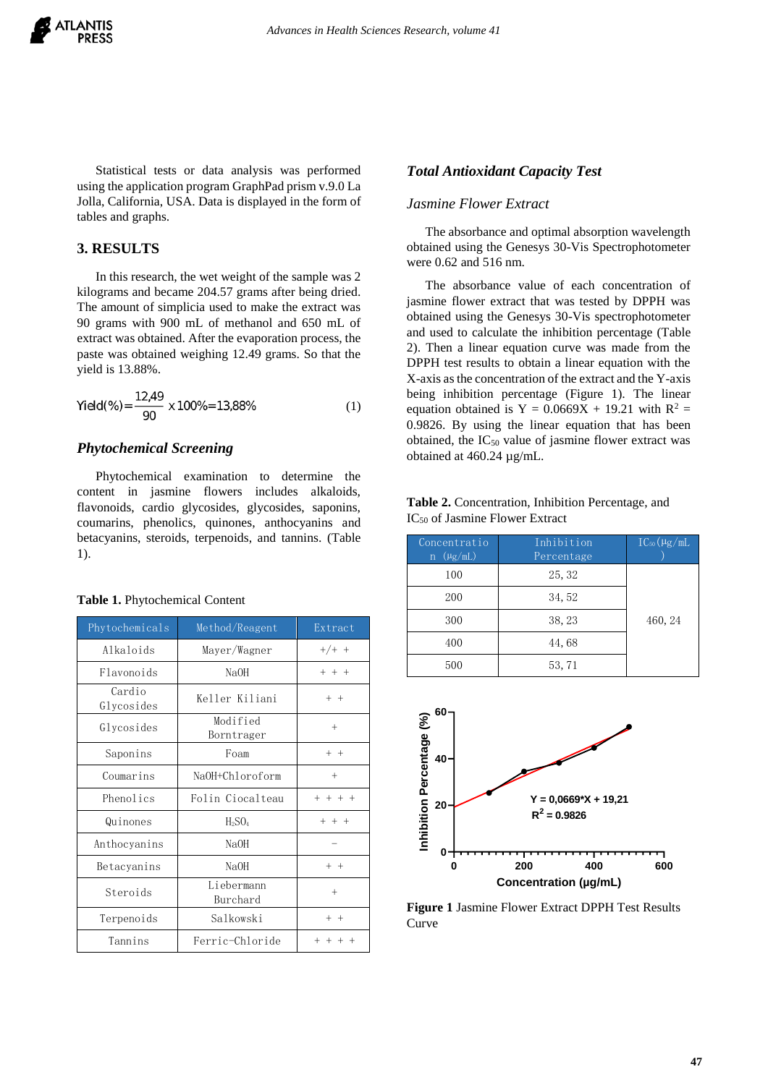

Statistical tests or data analysis was performed using the application program GraphPad prism v.9.0 La Jolla, California, USA. Data is displayed in the form of tables and graphs.

## **3. RESULTS**

In this research, the wet weight of the sample was 2 kilograms and became 204.57 grams after being dried. The amount of simplicia used to make the extract was 90 grams with 900 mL of methanol and 650 mL of extract was obtained. After the evaporation process, the paste was obtained weighing 12.49 grams. So that the yield is 13.88%.

Yield(%) = 
$$
\frac{12,49}{90} \times 100\% = 13,88\%
$$
 (1)

#### *Phytochemical Screening*

Phytochemical examination to determine the content in jasmine flowers includes alkaloids, flavonoids, cardio glycosides, glycosides, saponins, coumarins, phenolics, quinones, anthocyanins and betacyanins, steroids, terpenoids, and tannins. (Table 1).

| Phytochemicals       | Method/Reagent                 | Extract   |
|----------------------|--------------------------------|-----------|
| Alkaloids            | Mayer/Wagner                   | $+/+ +$   |
| Flavonoids           | NaOH                           | $+ + +$   |
| Cardio<br>Glycosides | Keller Kiliani                 | $+$ $+$   |
| Glycosides           | Modified<br>Borntrager         | $^{+}$    |
| Saponins             | Foam                           | $+$ $+$   |
| Coumarins            | NaOH+Chloroform                | $^{+}$    |
| Phenolics            | Folin Ciocalteau               | $+ + + +$ |
| Quinones             | H <sub>2</sub> SO <sub>4</sub> | $+$ $+$   |
| Anthocyanins         | NaOH                           |           |
| Betacyanins          | NaOH                           | $+$ $+$   |
| Steroids             | Liebermann<br>Burchard         | $^{+}$    |
| Terpenoids           | Salkowski                      | $+ +$     |
| Tannins              | Ferric-Chloride                |           |

**Table 1.** Phytochemical Content

#### *Total Antioxidant Capacity Test*

## *Jasmine Flower Extract*

The absorbance and optimal absorption wavelength obtained using the Genesys 30-Vis Spectrophotometer were 0.62 and 516 nm.

The absorbance value of each concentration of jasmine flower extract that was tested by DPPH was obtained using the Genesys 30-Vis spectrophotometer and used to calculate the inhibition percentage (Table 2). Then a linear equation curve was made from the DPPH test results to obtain a linear equation with the X-axis as the concentration of the extract and the Y-axis being inhibition percentage (Figure 1). The linear equation obtained is Y =  $0.0669X + 19.21$  with R<sup>2</sup> = 0.9826. By using the linear equation that has been obtained, the  $IC_{50}$  value of jasmine flower extract was obtained at 460.24 µg/mL.

| Table 2. Concentration, Inhibition Percentage, and |
|----------------------------------------------------|
| $IC_{50}$ of Jasmine Flower Extract                |

| Concentratio<br>$(\mu$ g/mL)<br>$\mathbf n$ | Inhibition<br>Percentage | $IC_{50}(\mu g/mL$ |
|---------------------------------------------|--------------------------|--------------------|
| 100                                         | 25, 32                   |                    |
| 200                                         | 34, 52                   |                    |
| 300                                         | 38, 23                   | 460, 24            |
| 400                                         | 44,68                    |                    |
| 500                                         | 53, 71                   |                    |



**Figure 1** Jasmine Flower Extract DPPH Test Results Curve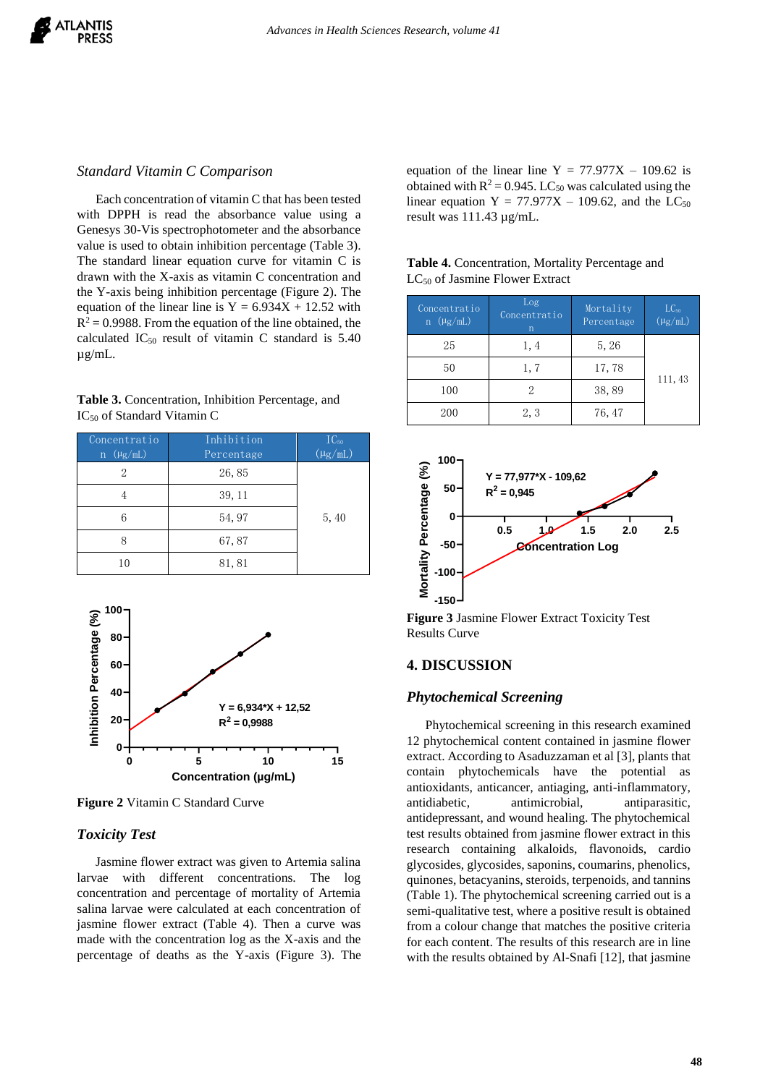

#### *Standard Vitamin C Comparison*

Each concentration of vitamin C that has been tested with DPPH is read the absorbance value using a Genesys 30-Vis spectrophotometer and the absorbance value is used to obtain inhibition percentage (Table 3). The standard linear equation curve for vitamin C is drawn with the X-axis as vitamin C concentration and the Y-axis being inhibition percentage (Figure 2). The equation of the linear line is  $Y = 6.934X + 12.52$  with  $R^2 = 0.9988$ . From the equation of the line obtained, the calculated  $IC_{50}$  result of vitamin C standard is 5.40 µg/mL.

**Table 3.** Concentration, Inhibition Percentage, and IC<sup>50</sup> of Standard Vitamin C

| Concentratio     | Inhibition | $IC_{50}$    |
|------------------|------------|--------------|
| $n \ (\mu g/mL)$ | Percentage | $(\mu g/mL)$ |
| 2                | 26,85      |              |
|                  | 39, 11     |              |
| h                | 54, 97     | 5,40         |
| 8                | 67,87      |              |
| 10               | 81,81      |              |



**Figure 2** Vitamin C Standard Curve

### *Toxicity Test*

Jasmine flower extract was given to Artemia salina larvae with different concentrations. The log concentration and percentage of mortality of Artemia salina larvae were calculated at each concentration of jasmine flower extract (Table 4). Then a curve was made with the concentration log as the X-axis and the percentage of deaths as the Y-axis (Figure 3). The

equation of the linear line  $Y = 77.977X - 109.62$  is obtained with  $R^2 = 0.945$ . LC<sub>50</sub> was calculated using the linear equation  $Y = 77.977X - 109.62$ , and the LC<sub>50</sub> result was 111.43 µg/mL.

| Table 4. Concentration, Mortality Percentage and |  |
|--------------------------------------------------|--|
| $LC_{50}$ of Jasmine Flower Extract              |  |

| Concentratio<br>$n \ (\mu g/mL)$ | Log<br>Concentratio<br>$\mathbf n$ | Mortality<br>Percentage | $LC_{50}$<br>$(\mu g/mL)$ |
|----------------------------------|------------------------------------|-------------------------|---------------------------|
| 25                               | 1, 4                               | 5, 26                   |                           |
| 50                               | 1,7                                | 17,78                   |                           |
| 100                              |                                    | 38,89                   | 111, 43                   |
| 200                              | 2, 3                               | 76, 47                  |                           |



**Figure 3** Jasmine Flower Extract Toxicity Test Results Curve

## **4. DISCUSSION**

#### *Phytochemical Screening*

Phytochemical screening in this research examined 12 phytochemical content contained in jasmine flower extract. According to Asaduzzaman et al [3], plants that contain phytochemicals have the potential as antioxidants, anticancer, antiaging, anti-inflammatory, antidiabetic, antimicrobial, antiparasitic, antidepressant, and wound healing. The phytochemical test results obtained from jasmine flower extract in this research containing alkaloids, flavonoids, cardio glycosides, glycosides, saponins, coumarins, phenolics, quinones, betacyanins, steroids, terpenoids, and tannins (Table 1). The phytochemical screening carried out is a semi-qualitative test, where a positive result is obtained from a colour change that matches the positive criteria for each content. The results of this research are in line with the results obtained by Al-Snafi [12], that jasmine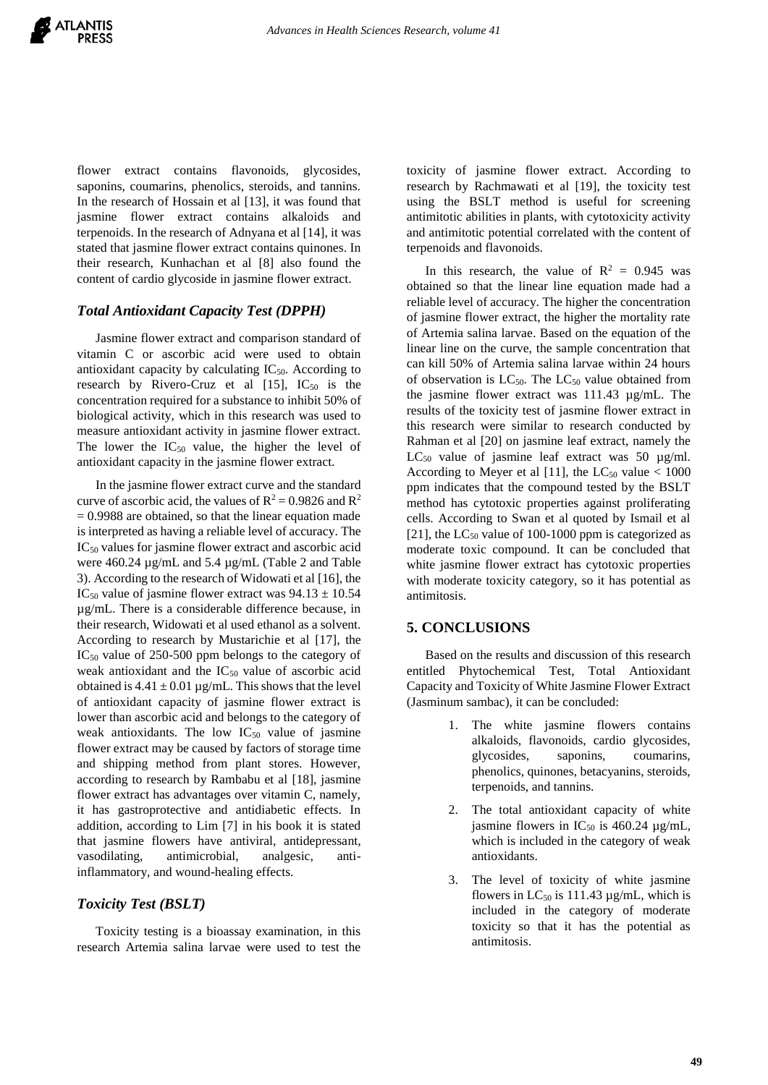flower extract contains flavonoids, glycosides, saponins, coumarins, phenolics, steroids, and tannins. In the research of Hossain et al [13], it was found that jasmine flower extract contains alkaloids and terpenoids. In the research of Adnyana et al [14], it was stated that jasmine flower extract contains quinones. In their research, Kunhachan et al [8] also found the content of cardio glycoside in jasmine flower extract.

## *Total Antioxidant Capacity Test (DPPH)*

Jasmine flower extract and comparison standard of vitamin C or ascorbic acid were used to obtain antioxidant capacity by calculating  $IC_{50}$ . According to research by Rivero-Cruz et al  $[15]$ ,  $IC_{50}$  is the concentration required for a substance to inhibit 50% of biological activity, which in this research was used to measure antioxidant activity in jasmine flower extract. The lower the  $IC_{50}$  value, the higher the level of antioxidant capacity in the jasmine flower extract.

In the jasmine flower extract curve and the standard curve of ascorbic acid, the values of  $R^2 = 0.9826$  and  $R^2$  $= 0.9988$  are obtained, so that the linear equation made is interpreted as having a reliable level of accuracy. The IC<sup>50</sup> values for jasmine flower extract and ascorbic acid were 460.24 µg/mL and 5.4 µg/mL (Table 2 and Table 3). According to the research of Widowati et al [16], the IC<sub>50</sub> value of jasmine flower extract was  $94.13 \pm 10.54$ µg/mL. There is a considerable difference because, in their research, Widowati et al used ethanol as a solvent. According to research by Mustarichie et al [17], the IC<sup>50</sup> value of 250-500 ppm belongs to the category of weak antioxidant and the IC<sub>50</sub> value of ascorbic acid obtained is  $4.41 \pm 0.01 \,\mu$ g/mL. This shows that the level of antioxidant capacity of jasmine flower extract is lower than ascorbic acid and belongs to the category of weak antioxidants. The low  $IC_{50}$  value of jasmine flower extract may be caused by factors of storage time and shipping method from plant stores. However, according to research by Rambabu et al [18], jasmine flower extract has advantages over vitamin C, namely, it has gastroprotective and antidiabetic effects. In addition, according to Lim [7] in his book it is stated that jasmine flowers have antiviral, antidepressant, vasodilating, antimicrobial, analgesic, antiinflammatory, and wound-healing effects.

# *Toxicity Test (BSLT)*

Toxicity testing is a bioassay examination, in this research Artemia salina larvae were used to test the

toxicity of jasmine flower extract. According to research by Rachmawati et al [19], the toxicity test using the BSLT method is useful for screening antimitotic abilities in plants, with cytotoxicity activity and antimitotic potential correlated with the content of terpenoids and flavonoids.

In this research, the value of  $R^2 = 0.945$  was obtained so that the linear line equation made had a reliable level of accuracy. The higher the concentration of jasmine flower extract, the higher the mortality rate of Artemia salina larvae. Based on the equation of the linear line on the curve, the sample concentration that can kill 50% of Artemia salina larvae within 24 hours of observation is  $LC_{50}$ . The  $LC_{50}$  value obtained from the jasmine flower extract was 111.43 µg/mL. The results of the toxicity test of jasmine flower extract in this research were similar to research conducted by Rahman et al [20] on jasmine leaf extract, namely the  $LC_{50}$  value of jasmine leaf extract was 50  $\mu$ g/ml. According to Meyer et al [11], the  $LC_{50}$  value < 1000 ppm indicates that the compound tested by the BSLT method has cytotoxic properties against proliferating cells. According to Swan et al quoted by Ismail et al [21], the  $LC_{50}$  value of 100-1000 ppm is categorized as moderate toxic compound. It can be concluded that white jasmine flower extract has cytotoxic properties with moderate toxicity category, so it has potential as antimitosis.

## **5. CONCLUSIONS**

Based on the results and discussion of this research entitled Phytochemical Test, Total Antioxidant Capacity and Toxicity of White Jasmine Flower Extract (Jasminum sambac), it can be concluded:

- 1. The white jasmine flowers contains alkaloids, flavonoids, cardio glycosides, glycosides, saponins, coumarins, phenolics, quinones, betacyanins, steroids, terpenoids, and tannins.
- 2. The total antioxidant capacity of white jasmine flowers in  $IC_{50}$  is 460.24  $\mu$ g/mL, which is included in the category of weak antioxidants.
- 3. The level of toxicity of white jasmine flowers in  $LC_{50}$  is 111.43  $\mu$ g/mL, which is included in the category of moderate toxicity so that it has the potential as antimitosis.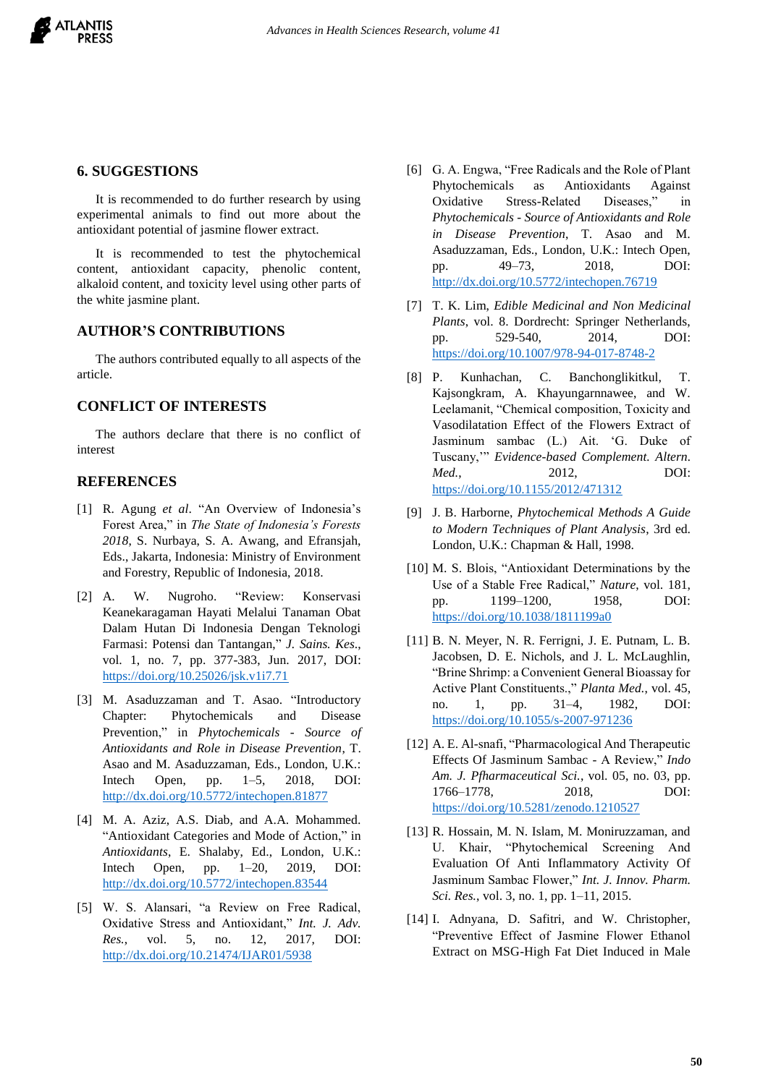

# **6. SUGGESTIONS**

It is recommended to do further research by using experimental animals to find out more about the antioxidant potential of jasmine flower extract.

It is recommended to test the phytochemical content, antioxidant capacity, phenolic content, alkaloid content, and toxicity level using other parts of the white jasmine plant.

# **AUTHOR'S CONTRIBUTIONS**

The authors contributed equally to all aspects of the article.

## **CONFLICT OF INTERESTS**

The authors declare that there is no conflict of interest

#### **REFERENCES**

- [1] R. Agung *et al*. "An Overview of Indonesia's Forest Area," in *The State of Indonesia's Forests 2018*, S. Nurbaya, S. A. Awang, and Efransjah, Eds., Jakarta, Indonesia: Ministry of Environment and Forestry, Republic of Indonesia, 2018.
- [2] A. W. Nugroho. "Review: Konservasi Keanekaragaman Hayati Melalui Tanaman Obat Dalam Hutan Di Indonesia Dengan Teknologi Farmasi: Potensi dan Tantangan," *J. Sains. Kes*., vol. 1, no. 7, pp. 377-383, Jun. 2017, DOI: <https://doi.org/10.25026/jsk.v1i7.71>
- [3] M. Asaduzzaman and T. Asao. "Introductory Chapter: Phytochemicals and Disease Prevention," in *Phytochemicals - Source of Antioxidants and Role in Disease Prevention*, T. Asao and M. Asaduzzaman, Eds., London, U.K.: Intech Open, pp. 1–5, 2018, DOI: <http://dx.doi.org/10.5772/intechopen.81877>
- [4] M. A. Aziz, A.S. Diab, and A.A. Mohammed. "Antioxidant Categories and Mode of Action," in *Antioxidants*, E. Shalaby, Ed., London, U.K.: Intech Open, pp. 1–20, 2019, DOI: <http://dx.doi.org/10.5772/intechopen.83544>
- [5] W. S. Alansari, "a Review on Free Radical, Oxidative Stress and Antioxidant," *Int. J. Adv. Res.*, vol. 5, no. 12, 2017, DOI: <http://dx.doi.org/10.21474/IJAR01/5938>
- [6] G. A. Engwa, "Free Radicals and the Role of Plant Phytochemicals as Antioxidants Against Oxidative Stress-Related Diseases," in *Phytochemicals - Source of Antioxidants and Role in Disease Prevention*, T. Asao and M. Asaduzzaman, Eds., London, U.K.: Intech Open, pp. 49–73, 2018, DOI: <http://dx.doi.org/10.5772/intechopen.76719>
- [7] T. K. Lim, *Edible Medicinal and Non Medicinal Plants*, vol. 8. Dordrecht: Springer Netherlands, pp. 529-540, 2014, DOI: <https://doi.org/10.1007/978-94-017-8748-2>
- [8] P. Kunhachan, C. Banchonglikitkul, T. Kajsongkram, A. Khayungarnnawee, and W. Leelamanit, "Chemical composition, Toxicity and Vasodilatation Effect of the Flowers Extract of Jasminum sambac (L.) Ait. 'G. Duke of Tuscany,'" *Evidence-based Complement. Altern. Med.*, 2012, DOI: <https://doi.org/10.1155/2012/471312>
- [9] J. B. Harborne, *Phytochemical Methods A Guide to Modern Techniques of Plant Analysis*, 3rd ed. London, U.K.: Chapman & Hall, 1998.
- [10] M. S. Blois, "Antioxidant Determinations by the Use of a Stable Free Radical," *Nature*, vol. 181, pp. 1199–1200, 1958, DOI: <https://doi.org/10.1038/1811199a0>
- [11] B. N. Meyer, N. R. Ferrigni, J. E. Putnam, L. B. Jacobsen, D. E. Nichols, and J. L. McLaughlin, "Brine Shrimp: a Convenient General Bioassay for Active Plant Constituents.," *Planta Med.*, vol. 45, no. 1, pp. 31–4, 1982, DOI: <https://doi.org/10.1055/s-2007-971236>
- [12] A. E. Al-snafi, "Pharmacological And Therapeutic Effects Of Jasminum Sambac - A Review," *Indo Am. J. Pfharmaceutical Sci.*, vol. 05, no. 03, pp. 1766–1778, 2018, DOI: <https://doi.org/10.5281/zenodo.1210527>
- [13] R. Hossain, M. N. Islam, M. Moniruzzaman, and U. Khair, "Phytochemical Screening And Evaluation Of Anti Inflammatory Activity Of Jasminum Sambac Flower," *Int. J. Innov. Pharm. Sci. Res.*, vol. 3, no. 1, pp. 1–11, 2015.
- [14] I. Adnyana, D. Safitri, and W. Christopher, "Preventive Effect of Jasmine Flower Ethanol Extract on MSG-High Fat Diet Induced in Male